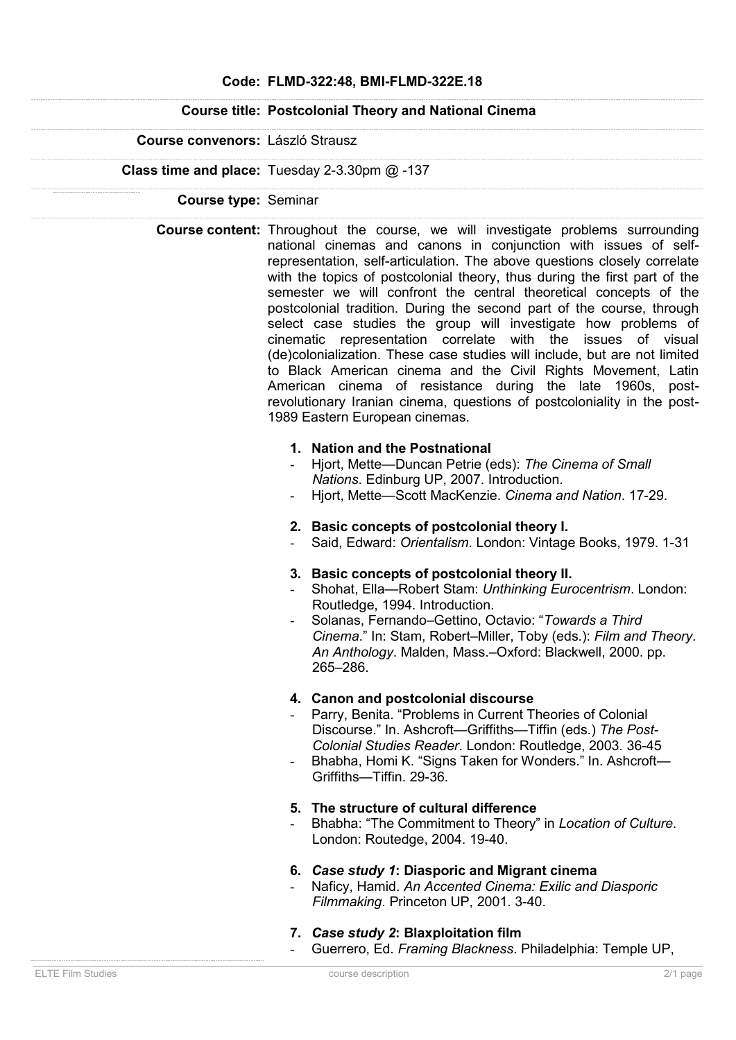## **Code: FLMD-322:48, BMI-FLMD-322E.18**

## **Course title: Postcolonial Theory and National Cinema**

### **Course convenors:** László Strausz

#### **Class time and place:** Tuesday 2-3.30pm @ -137

#### **Course type:** Seminar

**Course content:** Throughout the course, we will investigate problems surrounding national cinemas and canons in conjunction with issues of selfrepresentation, self-articulation. The above questions closely correlate with the topics of postcolonial theory, thus during the first part of the semester we will confront the central theoretical concepts of the postcolonial tradition. During the second part of the course, through select case studies the group will investigate how problems of cinematic representation correlate with the issues of visual (de)colonialization. These case studies will include, but are not limited to Black American cinema and the Civil Rights Movement, Latin American cinema of resistance during the late 1960s, postrevolutionary Iranian cinema, questions of postcoloniality in the post-1989 Eastern European cinemas.

### **1. Nation and the Postnational**

- Hjort, Mette—Duncan Petrie (eds): *The Cinema of Small Nations*. Edinburg UP, 2007. Introduction.
- Hjort, Mette—Scott MacKenzie. *Cinema and Nation*. 17-29.

## **2. Basic concepts of postcolonial theory I.**

- Said, Edward: *Orientalism*. London: Vintage Books, 1979. 1-31

## **3. Basic concepts of postcolonial theory II.**

- Shohat, Ella—Robert Stam: *Unthinking Eurocentrism*. London: Routledge, 1994. Introduction.
- Solanas, Fernando–Gettino, Octavio: "*Towards a Third Cinema*." In: Stam, Robert–Miller, Toby (eds.): *Film and Theory*. *An Anthology*. Malden, Mass.–Oxford: Blackwell, 2000. pp. 265–286.

# **4. Canon and postcolonial discourse**

- Parry, Benita. "Problems in Current Theories of Colonial Discourse." In. Ashcroft—Griffiths—Tiffin (eds.) *The Post-Colonial Studies Reader*. London: Routledge, 2003. 36-45
- Bhabha, Homi K. "Signs Taken for Wonders." In. Ashcroft-Griffiths—Tiffin. 29-36.

#### **5. The structure of cultural difference**

- Bhabha: "The Commitment to Theory" in *Location of Culture*. London: Routedge, 2004. 19-40.

#### **6.** *Case study 1***: Diasporic and Migrant cinema**

- Naficy, Hamid. *An Accented Cinema: Exilic and Diasporic Filmmaking*. Princeton UP, 2001. 3-40.

# **7.** *Case study 2***: Blaxploitation film**

- Guerrero, Ed. *Framing Blackness*. Philadelphia: Temple UP,